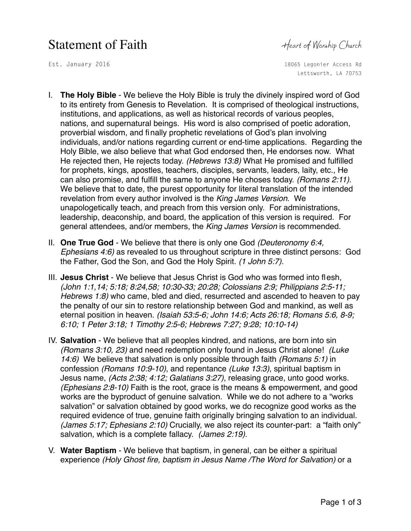## Statement of Faith Heart of Worship Church

Est. January 2016 1806 1806 1806 18065 Legonier Access Rd Lettsworth, LA 70753

- I. **The Holy Bible** We believe the Holy Bible is truly the divinely inspired word of God to its entirety from Genesis to Revelation. It is comprised of theological instructions, institutions, and applications, as well as historical records of various peoples, nations, and supernatural beings. His word is also comprised of poetic adoration, proverbial wisdom, and finally prophetic revelations of God's plan involving individuals, and/or nations regarding current or end-time applications. Regarding the Holy Bible, we also believe that what God endorsed then, He endorses now. What He rejected then, He rejects today. *(Hebrews 13:8)* What He promised and fulfilled for prophets, kings, apostles, teachers, disciples, servants, leaders, laity, etc., He can also promise, and fulfill the same to anyone He choses today. *(Romans 2:11).*  We believe that to date, the purest opportunity for literal translation of the intended revelation from every author involved is the *King James Version*. We unapologetically teach, and preach from this version only. For administrations, leadership, deaconship, and board, the application of this version is required. For general attendees, and/or members, the *King James Version* is recommended.
- II. **One True God** We believe that there is only one God *(Deuteronomy 6:4, Ephesians 4:6)* as revealed to us throughout scripture in three distinct persons: God the Father, God the Son, and God the Holy Spirit. *(1 John 5:7).*
- III. **Jesus Christ** We believe that Jesus Christ is God who was formed into flesh, *(John 1:1,14; 5:18; 8:24,58; 10:30-33; 20:28; Colossians 2:9; Philippians 2:5-11; Hebrews 1:8)* who came, bled and died, resurrected and ascended to heaven to pay the penalty of our sin to restore relationship between God and mankind, as well as eternal position in heaven. *(Isaiah 53:5-6; John 14:6; Acts 26:18; Romans 5:6, 8-9; 6:10; 1 Peter 3:18; 1 Timothy 2:5-6; Hebrews 7:27; 9:28; 10:10-14)*
- IV. **Salvation** We believe that all peoples kindred, and nations, are born into sin *(Romans 3:10, 23)* and need redemption only found in Jesus Christ alone! *(Luke 14:6)* We believe that salvation is only possible through faith *(Romans 5:1)* in confession *(Romans 10:9-10)*, and repentance *(Luke 13:3)*, spiritual baptism in Jesus name, *(Acts 2:38; 4:12; Galatians 3:27)*, releasing grace, unto good works. *(Ephesians 2:8-10)* Faith is the root, grace is the means & empowerment, and good works are the byproduct of genuine salvation. While we do not adhere to a "works salvation" or salvation obtained by good works, we do recognize good works as the required evidence of true, genuine faith originally bringing salvation to an individual. *(James 5:17; Ephesians 2:10)* Crucially, we also reject its counter-part: a "faith only" salvation, which is a complete fallacy. *(James 2:19).*
- V. **Water Baptism** We believe that baptism, in general, can be either a spiritual experience *(Holy Ghost fire, baptism in Jesus Name /The Word for Salvation)* or a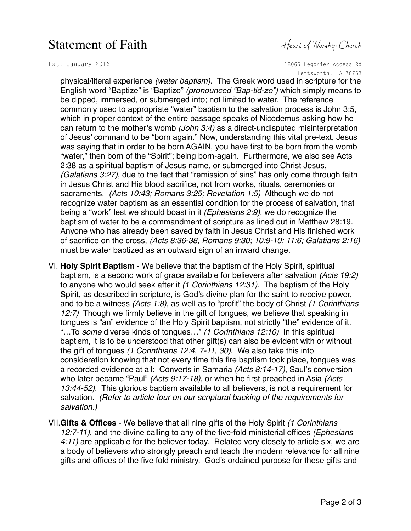## Statement of Faith Heart of Worship Church

Est. January 2016 1806 1806 1806 18065 Legonier Access Rd Lettsworth, LA 70753

physical/literal experience *(water baptism)*. The Greek word used in scripture for the English word "Baptize" is "Baptizo" *(pronounced "Bap-tid-zo")* which simply means to be dipped, immersed, or submerged into; not limited to water. The reference commonly used to appropriate "water" baptism to the salvation process is John 3:5, which in proper context of the entire passage speaks of Nicodemus asking how he can return to the mother's womb *(John 3:4)* as a direct-undisputed misinterpretation of Jesus' command to be "born again." Now, understanding this vital pre-text, Jesus was saying that in order to be born AGAIN, you have first to be born from the womb "water," then born of the "Spirit"; being born-again. Furthermore, we also see Acts 2:38 as a spiritual baptism of Jesus name, or submerged into Christ Jesus, *(Galatians 3:27)*, due to the fact that "remission of sins" has only come through faith in Jesus Christ and His blood sacrifice, not from works, rituals, ceremonies or sacraments. *(Acts 10:43; Romans 3:25; Revelation 1:5)* Although we do not recognize water baptism as an essential condition for the process of salvation, that being a "work" lest we should boast in it *(Ephesians 2:9)*, we do recognize the baptism of water to be a commandment of scripture as lined out in Matthew 28:19. Anyone who has already been saved by faith in Jesus Christ and His finished work of sacrifice on the cross, *(Acts 8:36-38, Romans 9:30; 10:9-10; 11:6; Galatians 2:16)* must be water baptized as an outward sign of an inward change.

- VI. **Holy Spirit Baptism** We believe that the baptism of the Holy Spirit, spiritual baptism, is a second work of grace available for believers after salvation *(Acts 19:2)* to anyone who would seek after it *(1 Corinthians 12:31).* The baptism of the Holy Spirit, as described in scripture, is God's divine plan for the saint to receive power, and to be a witness *(Acts 1:8)*, as well as to "profit" the body of Christ *(1 Corinthians 12:7)* Though we firmly believe in the gift of tongues, we believe that speaking in tongues is "an" evidence of the Holy Spirit baptism, not strictly "the" evidence of it. "…To *some* diverse kinds of tongues…" *(1 Corinthians 12:10)* In this spiritual baptism, it is to be understood that other gift(s) can also be evident with or without the gift of tongues *(1 Corinthians 12:4, 7-11, 30)*. We also take this into consideration knowing that not every time this fire baptism took place, tongues was a recorded evidence at all: Converts in Samaria *(Acts 8:14-17)*, Saul's conversion who later became "Paul" *(Acts 9:17-18)*, or when he first preached in Asia *(Acts 13:44-52)*. This glorious baptism available to all believers, is not a requirement for salvation. *(Refer to article four on our scriptural backing of the requirements for salvation.)*
- VII.**Gifts & Offices** We believe that all nine gifts of the Holy Spirit *(1 Corinthians 12:7-11)*, and the divine calling to any of the five-fold ministerial offices *(Ephesians 4:11)* are applicable for the believer today. Related very closely to article six, we are a body of believers who strongly preach and teach the modern relevance for all nine gifts and offices of the five fold ministry. God's ordained purpose for these gifts and